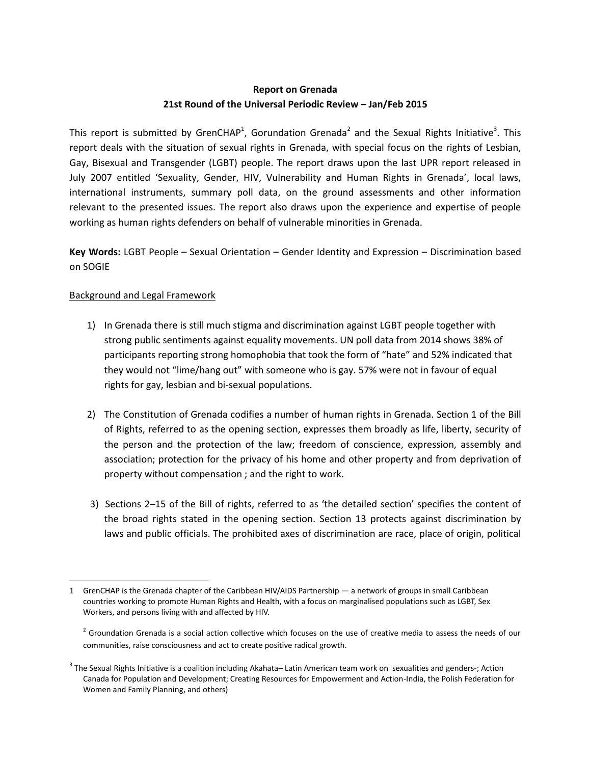# **Report on Grenada 21st Round of the Universal Periodic Review – Jan/Feb 2015**

This report is submitted by GrenCHAP<sup>1</sup>, Gorundation Grenada<sup>2</sup> and the Sexual Rights Initiative<sup>3</sup>. This report deals with the situation of sexual rights in Grenada, with special focus on the rights of Lesbian, Gay, Bisexual and Transgender (LGBT) people. The report draws upon the last UPR report released in July 2007 entitled 'Sexuality, Gender, HIV, Vulnerability and Human Rights in Grenada', local laws, international instruments, summary poll data, on the ground assessments and other information relevant to the presented issues. The report also draws upon the experience and expertise of people working as human rights defenders on behalf of vulnerable minorities in Grenada.

**Key Words:** LGBT People – Sexual Orientation – Gender Identity and Expression – Discrimination based on SOGIE

## Background and Legal Framework

- 1) In Grenada there is still much stigma and discrimination against LGBT people together with strong public sentiments against equality movements. UN poll data from 2014 shows 38% of participants reporting strong homophobia that took the form of "hate" and 52% indicated that they would not "lime/hang out" with someone who is gay. 57% were not in favour of equal rights for gay, lesbian and bi-sexual populations.
- 2) The Constitution of Grenada codifies a number of human rights in Grenada. Section 1 of the Bill of Rights, referred to as the opening section, expresses them broadly as life, liberty, security of the person and the protection of the law; freedom of conscience, expression, assembly and association; protection for the privacy of his home and other property and from deprivation of property without compensation ; and the right to work.
- 3) Sections 2–15 of the Bill of rights, referred to as 'the detailed section' specifies the content of the broad rights stated in the opening section. Section 13 protects against discrimination by laws and public officials. The prohibited axes of discrimination are race, place of origin, political

<sup>1</sup> GrenCHAP is the Grenada chapter of the Caribbean HIV/AIDS Partnership — a network of groups in small Caribbean countries working to promote Human Rights and Health, with a focus on marginalised populations such as LGBT, Sex Workers, and persons living with and affected by HIV.

 $2$  Groundation Grenada is a social action collective which focuses on the use of creative media to assess the needs of our communities, raise consciousness and act to create positive radical growth.

 $^3$  The Sexual Rights Initiative is a coalition including Akahata– Latin American team work on sexualities and genders-; Action Canada for Population and Development; Creating Resources for Empowerment and Action-India, the Polish Federation for Women and Family Planning, and others)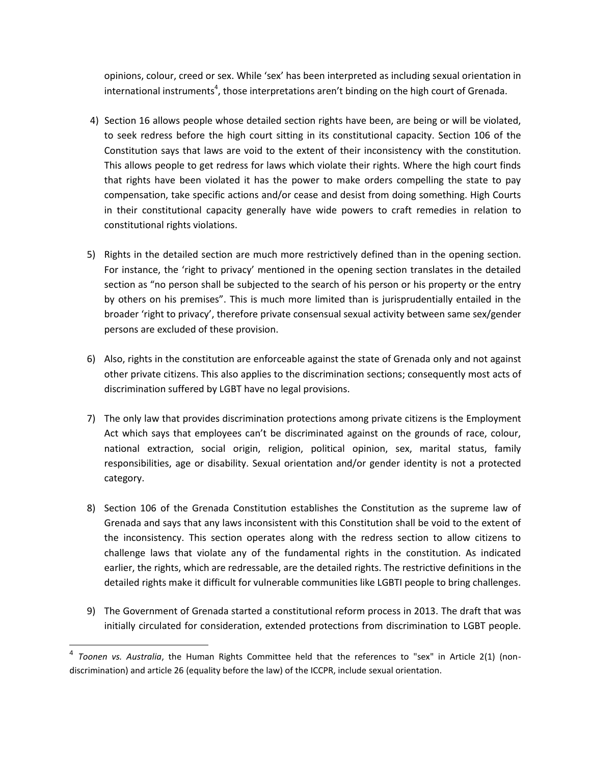opinions, colour, creed or sex. While 'sex' has been interpreted as including sexual orientation in international instruments<sup>4</sup>, those interpretations aren't binding on the high court of Grenada.

- 4) Section 16 allows people whose detailed section rights have been, are being or will be violated, to seek redress before the high court sitting in its constitutional capacity. Section 106 of the Constitution says that laws are void to the extent of their inconsistency with the constitution. This allows people to get redress for laws which violate their rights. Where the high court finds that rights have been violated it has the power to make orders compelling the state to pay compensation, take specific actions and/or cease and desist from doing something. High Courts in their constitutional capacity generally have wide powers to craft remedies in relation to constitutional rights violations.
- 5) Rights in the detailed section are much more restrictively defined than in the opening section. For instance, the 'right to privacy' mentioned in the opening section translates in the detailed section as "no person shall be subjected to the search of his person or his property or the entry by others on his premises". This is much more limited than is jurisprudentially entailed in the broader 'right to privacy', therefore private consensual sexual activity between same sex/gender persons are excluded of these provision.
- 6) Also, rights in the constitution are enforceable against the state of Grenada only and not against other private citizens. This also applies to the discrimination sections; consequently most acts of discrimination suffered by LGBT have no legal provisions.
- 7) The only law that provides discrimination protections among private citizens is the Employment Act which says that employees can't be discriminated against on the grounds of race, colour, national extraction, social origin, religion, political opinion, sex, marital status, family responsibilities, age or disability. Sexual orientation and/or gender identity is not a protected category.
- 8) Section 106 of the Grenada Constitution establishes the Constitution as the supreme law of Grenada and says that any laws inconsistent with this Constitution shall be void to the extent of the inconsistency. This section operates along with the redress section to allow citizens to challenge laws that violate any of the fundamental rights in the constitution. As indicated earlier, the rights, which are redressable, are the detailed rights. The restrictive definitions in the detailed rights make it difficult for vulnerable communities like LGBTI people to bring challenges.
- 9) The Government of Grenada started a constitutional reform process in 2013. The draft that was initially circulated for consideration, extended protections from discrimination to LGBT people.

<sup>4</sup> *Toonen vs. Australia*, the Human Rights Committee held that the references to "sex" in Article 2(1) (nondiscrimination) and article 26 (equality before the law) of the ICCPR, include sexual orientation.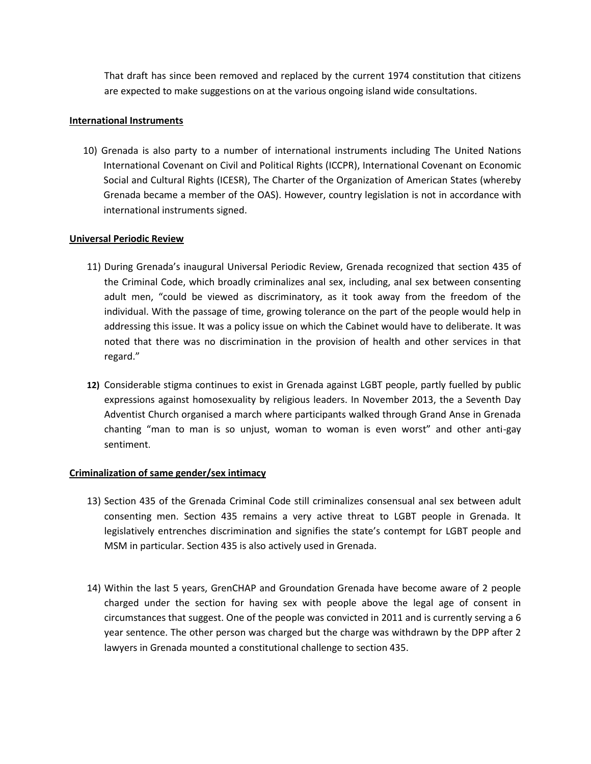That draft has since been removed and replaced by the current 1974 constitution that citizens are expected to make suggestions on at the various ongoing island wide consultations.

## **International Instruments**

10) Grenada is also party to a number of international instruments including The United Nations International Covenant on Civil and Political Rights (ICCPR), International Covenant on Economic Social and Cultural Rights (ICESR), The Charter of the Organization of American States (whereby Grenada became a member of the OAS). However, country legislation is not in accordance with international instruments signed.

#### **Universal Periodic Review**

- 11) During Grenada's inaugural Universal Periodic Review, Grenada recognized that section 435 of the Criminal Code, which broadly criminalizes anal sex, including, anal sex between consenting adult men, "could be viewed as discriminatory, as it took away from the freedom of the individual. With the passage of time, growing tolerance on the part of the people would help in addressing this issue. It was a policy issue on which the Cabinet would have to deliberate. It was noted that there was no discrimination in the provision of health and other services in that regard."
- **12)** Considerable stigma continues to exist in Grenada against LGBT people, partly fuelled by public expressions against homosexuality by religious leaders. In November 2013, the a Seventh Day Adventist Church organised a march where participants walked through Grand Anse in Grenada chanting "man to man is so unjust, woman to woman is even worst" and other anti-gay sentiment.

## **Criminalization of same gender/sex intimacy**

- 13) Section 435 of the Grenada Criminal Code still criminalizes consensual anal sex between adult consenting men. Section 435 remains a very active threat to LGBT people in Grenada. It legislatively entrenches discrimination and signifies the state's contempt for LGBT people and MSM in particular. Section 435 is also actively used in Grenada.
- 14) Within the last 5 years, GrenCHAP and Groundation Grenada have become aware of 2 people charged under the section for having sex with people above the legal age of consent in circumstances that suggest. One of the people was convicted in 2011 and is currently serving a 6 year sentence. The other person was charged but the charge was withdrawn by the DPP after 2 lawyers in Grenada mounted a constitutional challenge to section 435.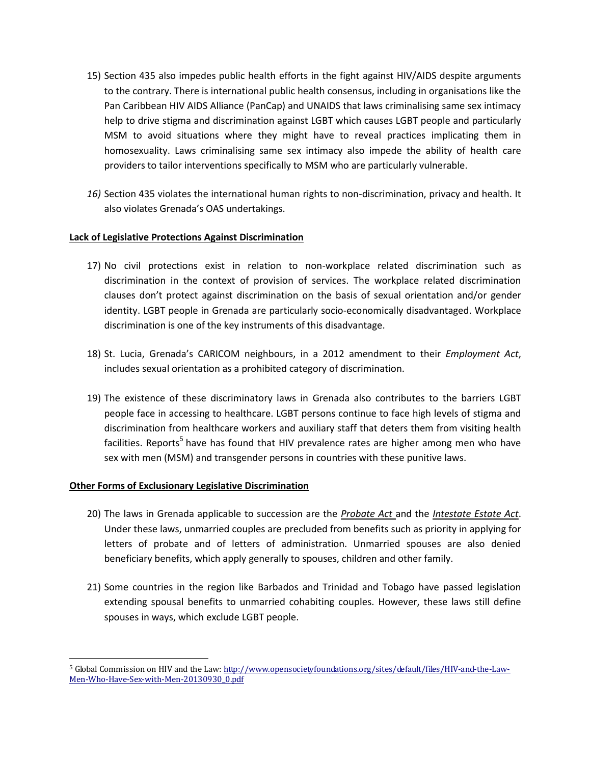- 15) Section 435 also impedes public health efforts in the fight against HIV/AIDS despite arguments to the contrary. There is international public health consensus, including in organisations like the Pan Caribbean HIV AIDS Alliance (PanCap) and UNAIDS that laws criminalising same sex intimacy help to drive stigma and discrimination against LGBT which causes LGBT people and particularly MSM to avoid situations where they might have to reveal practices implicating them in homosexuality. Laws criminalising same sex intimacy also impede the ability of health care providers to tailor interventions specifically to MSM who are particularly vulnerable.
- *16)* Section 435 violates the international human rights to non-discrimination, privacy and health. It also violates Grenada's OAS undertakings.

## **Lack of Legislative Protections Against Discrimination**

- 17) No civil protections exist in relation to non-workplace related discrimination such as discrimination in the context of provision of services. The workplace related discrimination clauses don't protect against discrimination on the basis of sexual orientation and/or gender identity. LGBT people in Grenada are particularly socio-economically disadvantaged. Workplace discrimination is one of the key instruments of this disadvantage.
- 18) St. Lucia, Grenada's CARICOM neighbours, in a 2012 amendment to their *Employment Act*, includes sexual orientation as a prohibited category of discrimination.
- 19) The existence of these discriminatory laws in Grenada also contributes to the barriers LGBT people face in accessing to healthcare. LGBT persons continue to face high levels of stigma and discrimination from healthcare workers and auxiliary staff that deters them from visiting health facilities. Reports<sup>5</sup> have has found that HIV prevalence rates are higher among men who have sex with men (MSM) and transgender persons in countries with these punitive laws.

## **Other Forms of Exclusionary Legislative Discrimination**

- 20) The laws in Grenada applicable to succession are the *Probate Act* and the *Intestate Estate Act*. Under these laws, unmarried couples are precluded from benefits such as priority in applying for letters of probate and of letters of administration. Unmarried spouses are also denied beneficiary benefits, which apply generally to spouses, children and other family.
- 21) Some countries in the region like Barbados and Trinidad and Tobago have passed legislation extending spousal benefits to unmarried cohabiting couples. However, these laws still define spouses in ways, which exclude LGBT people.

<sup>5</sup> Global Commission on HIV and the Law[: http://www.opensocietyfoundations.org/sites/default/files/HIV-and-the-Law-](http://www.opensocietyfoundations.org/sites/default/files/HIV-and-the-Law-Men-Who-Have-Sex-with-Men-20130930_0.pdf)[Men-Who-Have-Sex-with-Men-20130930\\_0.pdf](http://www.opensocietyfoundations.org/sites/default/files/HIV-and-the-Law-Men-Who-Have-Sex-with-Men-20130930_0.pdf)